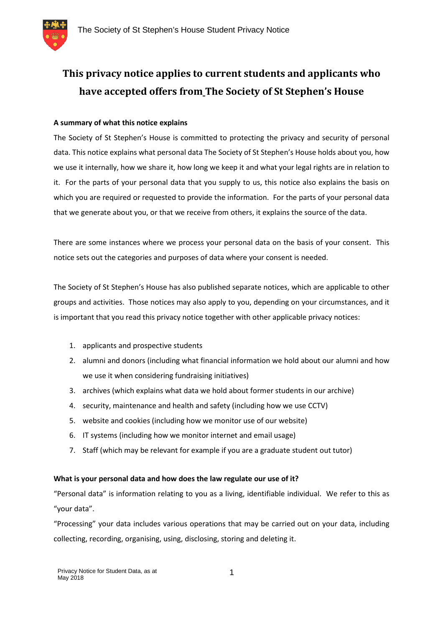

# **This privacy notice applies to current students and applicants who have accepted offers from The Society of St Stephen's House**

## **A summary of what this notice explains**

The Society of St Stephen's House is committed to protecting the privacy and security of personal data. This notice explains what personal data The Society of St Stephen's House holds about you, how we use it internally, how we share it, how long we keep it and what your legal rights are in relation to it. For the parts of your personal data that you supply to us, this notice also explains the basis on which you are required or requested to provide the information. For the parts of your personal data that we generate about you, or that we receive from others, it explains the source of the data.

There are some instances where we process your personal data on the basis of your consent. This notice sets out the categories and purposes of data where your consent is needed.

The Society of St Stephen's House has also published separate notices, which are applicable to other groups and activities. Those notices may also apply to you, depending on your circumstances, and it is important that you read this privacy notice together with other applicable privacy notices:

- 1. applicants and prospective students
- 2. alumni and donors (including what financial information we hold about our alumni and how we use it when considering fundraising initiatives)
- 3. archives (which explains what data we hold about former students in our archive)
- 4. security, maintenance and health and safety (including how we use CCTV)
- 5. website and cookies (including how we monitor use of our website)
- 6. IT systems (including how we monitor internet and email usage)
- 7. Staff (which may be relevant for example if you are a graduate student out tutor)

## **What is your personal data and how does the law regulate our use of it?**

"Personal data" is information relating to you as a living, identifiable individual. We refer to this as "your data".

"Processing" your data includes various operations that may be carried out on your data, including collecting, recording, organising, using, disclosing, storing and deleting it.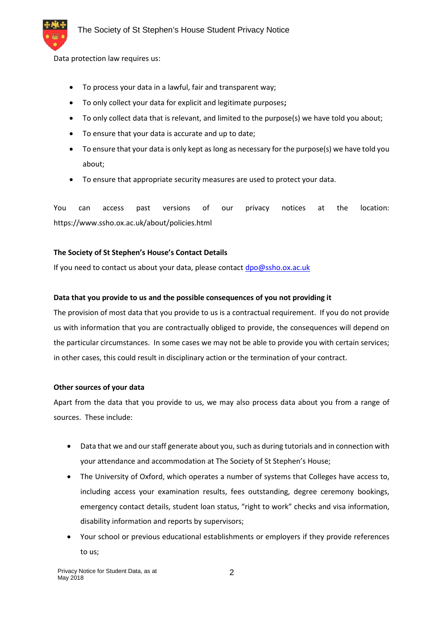Data protection law requires us:

- To process your data in a lawful, fair and transparent way;
- To only collect your data for explicit and legitimate purposes**;**
- To only collect data that is relevant, and limited to the purpose(s) we have told you about;
- To ensure that your data is accurate and up to date;
- To ensure that your data is only kept as long as necessary for the purpose(s) we have told you about;
- To ensure that appropriate security measures are used to protect your data.

You can access past versions of our privacy notices at the location: https://www.ssho.ox.ac.uk/about/policies.html

## **The Society of St Stephen's House's Contact Details**

If you need to contact us about your data, please contact dpo@ssho.ox.ac.uk

## **Data that you provide to us and the possible consequences of you not providing it**

The provision of most data that you provide to us is a contractual requirement. If you do not provide us with information that you are contractually obliged to provide, the consequences will depend on the particular circumstances. In some cases we may not be able to provide you with certain services; in other cases, this could result in disciplinary action or the termination of your contract.

## **Other sources of your data**

Apart from the data that you provide to us, we may also process data about you from a range of sources. These include:

- Data that we and our staff generate about you, such as during tutorials and in connection with your attendance and accommodation at The Society of St Stephen's House;
- The University of Oxford, which operates a number of systems that Colleges have access to, including access your examination results, fees outstanding, degree ceremony bookings, emergency contact details, student loan status, "right to work" checks and visa information, disability information and reports by supervisors;
- Your school or previous educational establishments or employers if they provide references to us;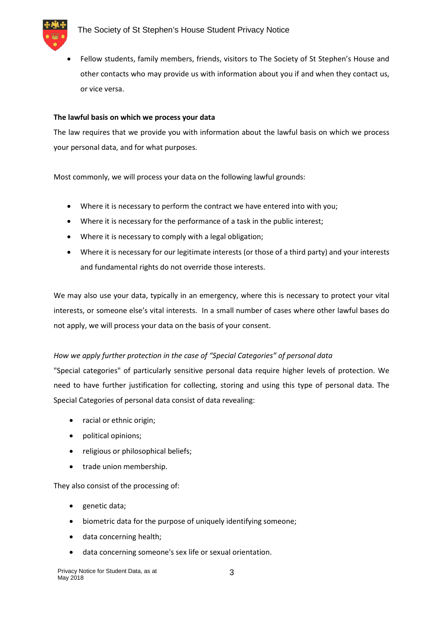

 Fellow students, family members, friends, visitors to The Society of St Stephen's House and other contacts who may provide us with information about you if and when they contact us, or vice versa.

#### **The lawful basis on which we process your data**

The law requires that we provide you with information about the lawful basis on which we process your personal data, and for what purposes.

Most commonly, we will process your data on the following lawful grounds:

- Where it is necessary to perform the contract we have entered into with you;
- Where it is necessary for the performance of a task in the public interest;
- Where it is necessary to comply with a legal obligation;
- Where it is necessary for our legitimate interests (or those of a third party) and your interests and fundamental rights do not override those interests.

We may also use your data, typically in an emergency, where this is necessary to protect your vital interests, or someone else's vital interests. In a small number of cases where other lawful bases do not apply, we will process your data on the basis of your consent.

## *How we apply further protection in the case of "Special Categories" of personal data*

"Special categories" of particularly sensitive personal data require higher levels of protection. We need to have further justification for collecting, storing and using this type of personal data. The Special Categories of personal data consist of data revealing:

- racial or ethnic origin;
- political opinions;
- religious or philosophical beliefs;
- trade union membership.

They also consist of the processing of:

- genetic data;
- biometric data for the purpose of uniquely identifying someone;
- data concerning health;
- data concerning someone's sex life or sexual orientation.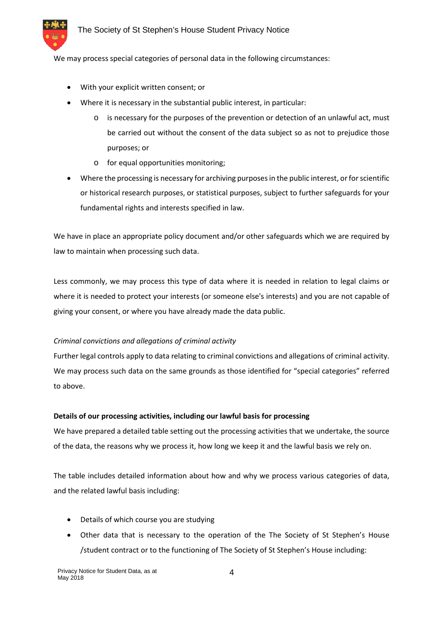

We may process special categories of personal data in the following circumstances:

- With your explicit written consent; or
- Where it is necessary in the substantial public interest, in particular:
	- o is necessary for the purposes of the prevention or detection of an unlawful act, must be carried out without the consent of the data subject so as not to prejudice those purposes; or
	- o for equal opportunities monitoring;
- Where the processing is necessary for archiving purposes in the public interest, or for scientific or historical research purposes, or statistical purposes, subject to further safeguards for your fundamental rights and interests specified in law.

We have in place an appropriate policy document and/or other safeguards which we are required by law to maintain when processing such data.

Less commonly, we may process this type of data where it is needed in relation to legal claims or where it is needed to protect your interests (or someone else's interests) and you are not capable of giving your consent, or where you have already made the data public.

## *Criminal convictions and allegations of criminal activity*

Further legal controls apply to data relating to criminal convictions and allegations of criminal activity. We may process such data on the same grounds as those identified for "special categories" referred to above.

## **Details of our processing activities, including our lawful basis for processing**

We have prepared a detailed table setting out the processing activities that we undertake, the source of the data, the reasons why we process it, how long we keep it and the lawful basis we rely on.

The table includes detailed information about how and why we process various categories of data, and the related lawful basis including:

- Details of which course you are studying
- Other data that is necessary to the operation of the The Society of St Stephen's House /student contract or to the functioning of The Society of St Stephen's House including: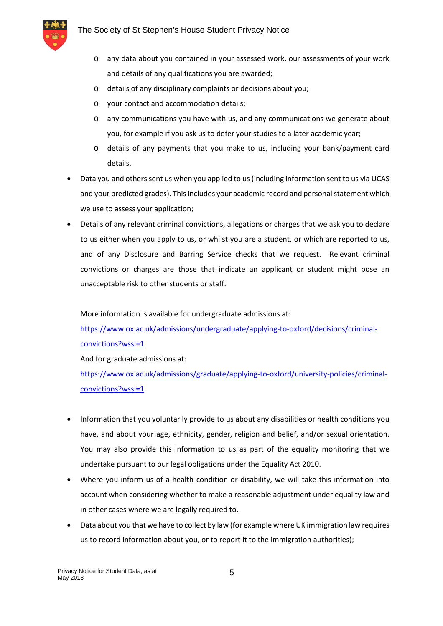

- o any data about you contained in your assessed work, our assessments of your work and details of any qualifications you are awarded;
- o details of any disciplinary complaints or decisions about you;
- o your contact and accommodation details;
- o any communications you have with us, and any communications we generate about you, for example if you ask us to defer your studies to a later academic year;
- o details of any payments that you make to us, including your bank/payment card details.
- Data you and others sent us when you applied to us (including information sent to us via UCAS and your predicted grades). This includes your academic record and personal statement which we use to assess your application;
- Details of any relevant criminal convictions, allegations or charges that we ask you to declare to us either when you apply to us, or whilst you are a student, or which are reported to us, and of any Disclosure and Barring Service checks that we request. Relevant criminal convictions or charges are those that indicate an applicant or student might pose an unacceptable risk to other students or staff.

More information is available for undergraduate admissions at:

https://www.ox.ac.uk/admissions/undergraduate/applying-to-oxford/decisions/criminalconvictions?wssl=1

And for graduate admissions at:

https://www.ox.ac.uk/admissions/graduate/applying-to-oxford/university-policies/criminalconvictions?wssl=1.

- Information that you voluntarily provide to us about any disabilities or health conditions you have, and about your age, ethnicity, gender, religion and belief, and/or sexual orientation. You may also provide this information to us as part of the equality monitoring that we undertake pursuant to our legal obligations under the Equality Act 2010.
- Where you inform us of a health condition or disability, we will take this information into account when considering whether to make a reasonable adjustment under equality law and in other cases where we are legally required to.
- Data about you that we have to collect by law (for example where UK immigration law requires us to record information about you, or to report it to the immigration authorities);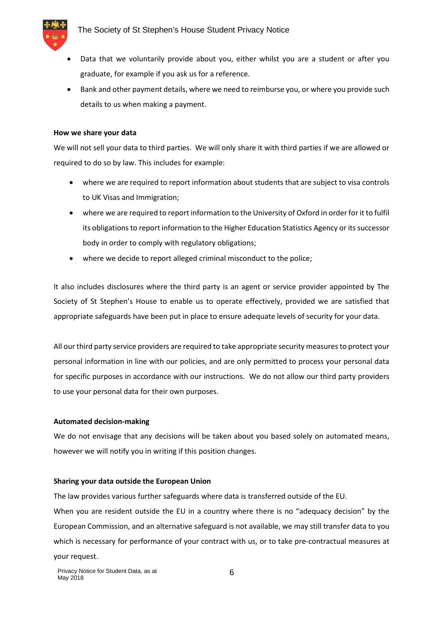

- Data that we voluntarily provide about you, either whilst you are a student or after you graduate, for example if you ask us for a reference.
- Bank and other payment details, where we need to reimburse you, or where you provide such details to us when making a payment.

#### **How we share your data**

We will not sell your data to third parties. We will only share it with third parties if we are allowed or required to do so by law. This includes for example:

- where we are required to report information about students that are subject to visa controls to UK Visas and Immigration;
- where we are required to report information to the University of Oxford in order for it to fulfil its obligations to report information to the Higher Education Statistics Agency or its successor body in order to comply with regulatory obligations;
- where we decide to report alleged criminal misconduct to the police;

It also includes disclosures where the third party is an agent or service provider appointed by The Society of St Stephen's House to enable us to operate effectively, provided we are satisfied that appropriate safeguards have been put in place to ensure adequate levels of security for your data.

All our third party service providers are required to take appropriate security measures to protect your personal information in line with our policies, and are only permitted to process your personal data for specific purposes in accordance with our instructions. We do not allow our third party providers to use your personal data for their own purposes.

## **Automated decision-making**

We do not envisage that any decisions will be taken about you based solely on automated means, however we will notify you in writing if this position changes.

#### **Sharing your data outside the European Union**

The law provides various further safeguards where data is transferred outside of the EU.

When you are resident outside the EU in a country where there is no "adequacy decision" by the European Commission, and an alternative safeguard is not available, we may still transfer data to you which is necessary for performance of your contract with us, or to take pre-contractual measures at your request.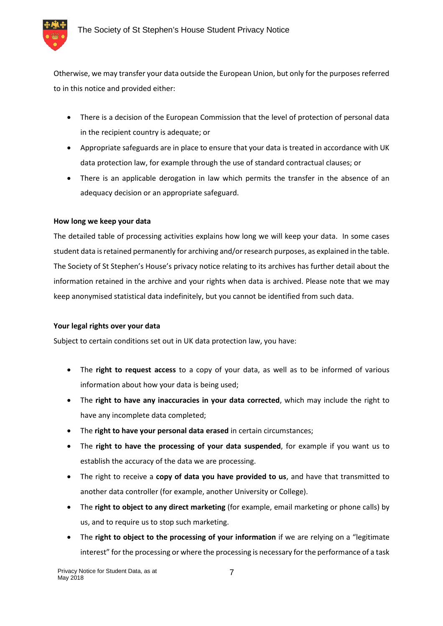

Otherwise, we may transfer your data outside the European Union, but only for the purposes referred to in this notice and provided either:

- There is a decision of the European Commission that the level of protection of personal data in the recipient country is adequate; or
- Appropriate safeguards are in place to ensure that your data is treated in accordance with UK data protection law, for example through the use of standard contractual clauses; or
- There is an applicable derogation in law which permits the transfer in the absence of an adequacy decision or an appropriate safeguard.

## **How long we keep your data**

The detailed table of processing activities explains how long we will keep your data. In some cases student data is retained permanently for archiving and/or research purposes, as explained in the table. The Society of St Stephen's House's privacy notice relating to its archives has further detail about the information retained in the archive and your rights when data is archived. Please note that we may keep anonymised statistical data indefinitely, but you cannot be identified from such data.

## **Your legal rights over your data**

Subject to certain conditions set out in UK data protection law, you have:

- The **right to request access** to a copy of your data, as well as to be informed of various information about how your data is being used;
- The **right to have any inaccuracies in your data corrected**, which may include the right to have any incomplete data completed;
- The **right to have your personal data erased** in certain circumstances;
- The **right to have the processing of your data suspended**, for example if you want us to establish the accuracy of the data we are processing.
- The right to receive a **copy of data you have provided to us**, and have that transmitted to another data controller (for example, another University or College).
- The **right to object to any direct marketing** (for example, email marketing or phone calls) by us, and to require us to stop such marketing.
- The **right to object to the processing of your information** if we are relying on a "legitimate interest" for the processing or where the processing is necessary for the performance of a task